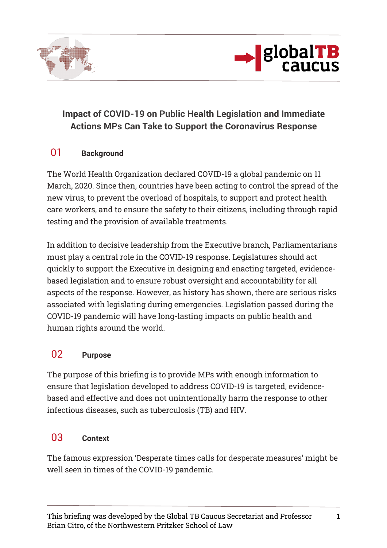



# **Impact of COVID-19 on Public Health Legislation and Immediate Actions MPs Can Take to Support the Coronavirus Response**

### 01 **Background**

The World Health Organization declared COVID-19 a global pandemic on 11 March, 2020. Since then, countries have been acting to control the spread of the new virus, to prevent the overload of hospitals, to support and protect health care workers, and to ensure the safety to their citizens, including through rapid testing and the provision of available treatments.

In addition to decisive leadership from the Executive branch, Parliamentarians must play a central role in the COVID-19 response. Legislatures should act quickly to support the Executive in designing and enacting targeted, evidencebased legislation and to ensure robust oversight and accountability for all aspects of the response. However, as history has shown, there are serious risks associated with legislating during emergencies. Legislation passed during the COVID-19 pandemic will have long-lasting impacts on public health and human rights around the world.

# 02 **Purpose**

The purpose of this briefing is to provide MPs with enough information to ensure that legislation developed to address COVID-19 is targeted, evidencebased and effective and does not unintentionally harm the response to other infectious diseases, such as tuberculosis (TB) and HIV.

# 03 **Context**

The famous expression 'Desperate times calls for desperate measures' might be well seen in times of the COVID-19 pandemic.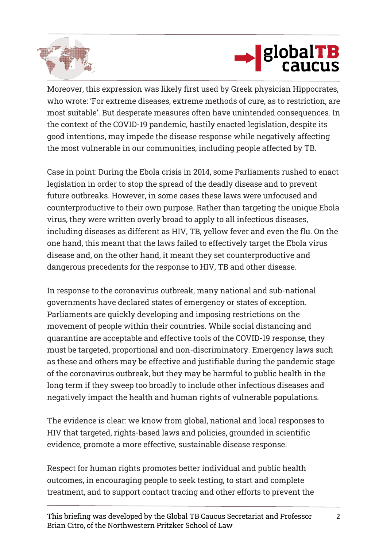



Moreover, this expression was likely first used by Greek physician Hippocrates, who wrote: 'For extreme diseases, extreme methods of cure, as to restriction, are most suitable'. But desperate measures often have unintended consequences. In the context of the COVID-19 pandemic, hastily enacted legislation, despite its good intentions, may impede the disease response while negatively affecting the most vulnerable in our communities, including people affected by TB.

Case in point: During the Ebola crisis in 2014, some Parliaments rushed to enact legislation in order to stop the spread of the deadly disease and to prevent future outbreaks. However, in some cases these laws were unfocused and counterproductive to their own purpose. Rather than targeting the unique Ebola virus, they were written overly broad to apply to all infectious diseases, including diseases as different as HIV, TB, yellow fever and even the flu. On the one hand, this meant that the laws failed to effectively target the Ebola virus disease and, on the other hand, it meant they set counterproductive and dangerous precedents for the response to HIV, TB and other disease.

In response to the coronavirus outbreak, many national and sub-national governments have declared states of emergency or states of exception. Parliaments are quickly developing and imposing restrictions on the movement of people within their countries. While social distancing and quarantine are acceptable and effective tools of the COVID-19 response, they must be targeted, proportional and non-discriminatory. Emergency laws such as these and others may be effective and justifiable during the pandemic stage of the coronavirus outbreak, but they may be harmful to public health in the long term if they sweep too broadly to include other infectious diseases and negatively impact the health and human rights of vulnerable populations.

The evidence is clear: we know from global, national and local responses to HIV that targeted, rights-based laws and policies, grounded in scientific evidence, promote a more effective, sustainable disease response.

Respect for human rights promotes better individual and public health outcomes, in encouraging people to seek testing, to start and complete treatment, and to support contact tracing and other efforts to prevent the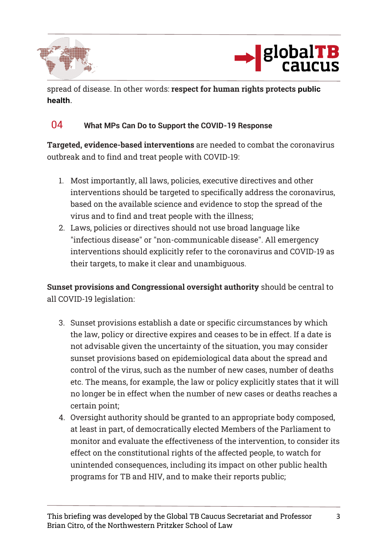



spread of disease. In other words: **respect for human rights protects public health**.

#### 04 **What MPs Can Do to Support the COVID-19 Response**

**Targeted, evidence-based interventions** are needed to combat the coronavirus outbreak and to find and treat people with COVID-19:

- 1. Most importantly, all laws, policies, executive directives and other interventions should be targeted to specifically address the coronavirus, based on the available science and evidence to stop the spread of the virus and to find and treat people with the illness;
- 2. Laws, policies or directives should not use broad language like "infectious disease" or "non-communicable disease". All emergency interventions should explicitly refer to the coronavirus and COVID-19 as their targets, to make it clear and unambiguous.

**Sunset provisions and Congressional oversight authority** should be central to all COVID-19 legislation:

- 3. Sunset provisions establish a date or specific circumstances by which the law, policy or directive expires and ceases to be in effect. If a date is not advisable given the uncertainty of the situation, you may consider sunset provisions based on epidemiological data about the spread and control of the virus, such as the number of new cases, number of deaths etc. The means, for example, the law or policy explicitly states that it will no longer be in effect when the number of new cases or deaths reaches a certain point;
- 4. Oversight authority should be granted to an appropriate body composed, at least in part, of democratically elected Members of the Parliament to monitor and evaluate the effectiveness of the intervention, to consider its effect on the constitutional rights of the affected people, to watch for unintended consequences, including its impact on other public health programs for TB and HIV, and to make their reports public;